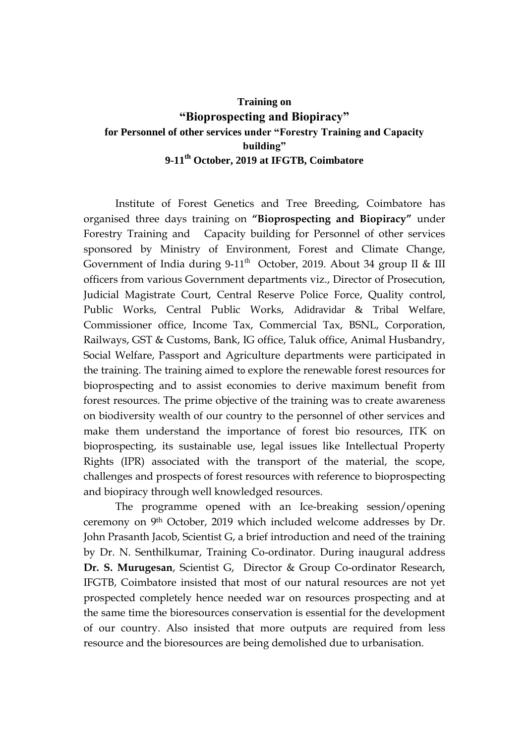## **Training on "Bioprospecting and Biopiracy" for Personnel of other services under "Forestry Training and Capacity building" 9-11th October, 2019 at IFGTB, Coimbatore**

Institute of Forest Genetics and Tree Breeding, Coimbatore has organised three days training on **"Bioprospecting and Biopiracy"** under Forestry Training and Capacity building for Personnel of other services sponsored by Ministry of Environment, Forest and Climate Change, Government of India during 9-11<sup>th</sup> October, 2019. About 34 group II & III officers from various Government departments viz., Director of Prosecution, Judicial Magistrate Court, Central Reserve Police Force, Quality control, Public Works, Central Public Works, Adidravidar & Tribal Welfare, Commissioner office, Income Tax, Commercial Tax, BSNL, Corporation, Railways, GST & Customs, Bank, IG office, Taluk office, Animal Husbandry, Social Welfare, Passport and Agriculture departments were participated in the training. The training aimed to explore the renewable forest resources for bioprospecting and to assist economies to derive maximum benefit from forest resources. The prime objective of the training was to create awareness on biodiversity wealth of our country to the personnel of other services and make them understand the importance of forest bio resources, ITK on bioprospecting, its sustainable use, legal issues like Intellectual Property Rights (IPR) associated with the transport of the material, the scope, challenges and prospects of forest resources with reference to bioprospecting and biopiracy through well knowledged resources.

The programme opened with an Ice-breaking session/opening ceremony on 9th October, 2019 which included welcome addresses by Dr. John Prasanth Jacob, Scientist G, a brief introduction and need of the training by Dr. N. Senthilkumar, Training Co-ordinator. During inaugural address **Dr. S. Murugesan**, Scientist G, Director & Group Co-ordinator Research, IFGTB, Coimbatore insisted that most of our natural resources are not yet prospected completely hence needed war on resources prospecting and at the same time the bioresources conservation is essential for the development of our country. Also insisted that more outputs are required from less resource and the bioresources are being demolished due to urbanisation.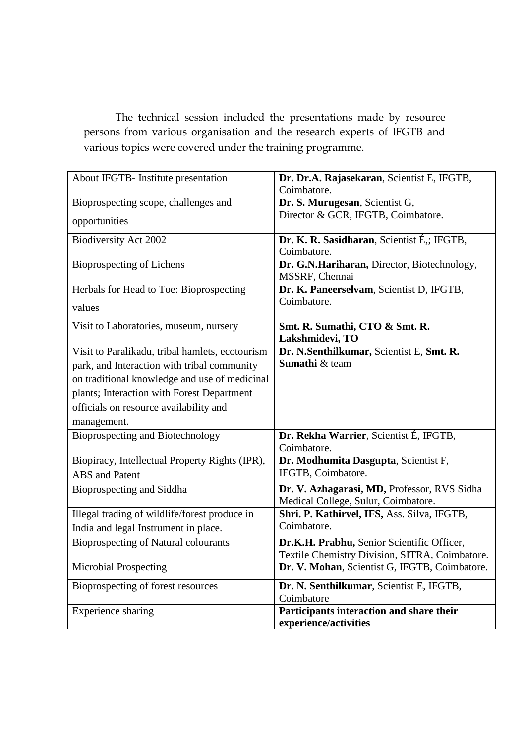The technical session included the presentations made by resource persons from various organisation and the research experts of IFGTB and various topics were covered under the training programme.

| About IFGTB- Institute presentation             | Dr. Dr.A. Rajasekaran, Scientist E, IFGTB,<br>Coimbatore.                                    |
|-------------------------------------------------|----------------------------------------------------------------------------------------------|
| Bioprospecting scope, challenges and            | Dr. S. Murugesan, Scientist G,                                                               |
| opportunities                                   | Director & GCR, IFGTB, Coimbatore.                                                           |
| <b>Biodiversity Act 2002</b>                    | Dr. K. R. Sasidharan, Scientist É,; IFGTB,<br>Coimbatore.                                    |
| Bioprospecting of Lichens                       | Dr. G.N.Hariharan, Director, Biotechnology,<br>MSSRF, Chennai                                |
| Herbals for Head to Toe: Bioprospecting         | Dr. K. Paneerselvam, Scientist D, IFGTB,                                                     |
| values                                          | Coimbatore.                                                                                  |
| Visit to Laboratories, museum, nursery          | Smt. R. Sumathi, CTO & Smt. R.<br>Lakshmidevi, TO                                            |
| Visit to Paralikadu, tribal hamlets, ecotourism | Dr. N.Senthilkumar, Scientist E, Smt. R.                                                     |
| park, and Interaction with tribal community     | Sumathi & team                                                                               |
| on traditional knowledge and use of medicinal   |                                                                                              |
| plants; Interaction with Forest Department      |                                                                                              |
| officials on resource availability and          |                                                                                              |
| management.                                     |                                                                                              |
| Bioprospecting and Biotechnology                | Dr. Rekha Warrier, Scientist É, IFGTB,<br>Coimbatore.                                        |
| Biopiracy, Intellectual Property Rights (IPR),  | Dr. Modhumita Dasgupta, Scientist F,                                                         |
| <b>ABS</b> and Patent                           | IFGTB, Coimbatore.                                                                           |
| Bioprospecting and Siddha                       | Dr. V. Azhagarasi, MD, Professor, RVS Sidha<br>Medical College, Sulur, Coimbatore.           |
| Illegal trading of wildlife/forest produce in   | Shri. P. Kathirvel, IFS, Ass. Silva, IFGTB,                                                  |
| India and legal Instrument in place.            | Coimbatore.                                                                                  |
| <b>Bioprospecting of Natural colourants</b>     | Dr.K.H. Prabhu, Senior Scientific Officer,<br>Textile Chemistry Division, SITRA, Coimbatore. |
| <b>Microbial Prospecting</b>                    | Dr. V. Mohan, Scientist G, IFGTB, Coimbatore.                                                |
| Bioprospecting of forest resources              | Dr. N. Senthilkumar, Scientist E, IFGTB,<br>Coimbatore                                       |
| Experience sharing                              | Participants interaction and share their<br>experience/activities                            |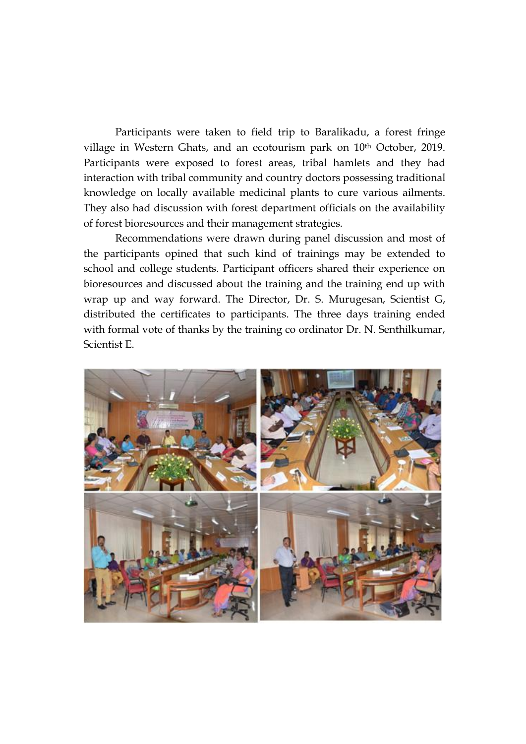Participants were taken to field trip to Baralikadu, a forest fringe village in Western Ghats, and an ecotourism park on 10<sup>th</sup> October, 2019. Participants were exposed to forest areas, tribal hamlets and they had interaction with tribal community and country doctors possessing traditional knowledge on locally available medicinal plants to cure various ailments. They also had discussion with forest department officials on the availability of forest bioresources and their management strategies.

Recommendations were drawn during panel discussion and most of the participants opined that such kind of trainings may be extended to school and college students. Participant officers shared their experience on bioresources and discussed about the training and the training end up with wrap up and way forward. The Director, Dr. S. Murugesan, Scientist G, distributed the certificates to participants. The three days training ended with formal vote of thanks by the training co ordinator Dr. N. Senthilkumar, Scientist E.

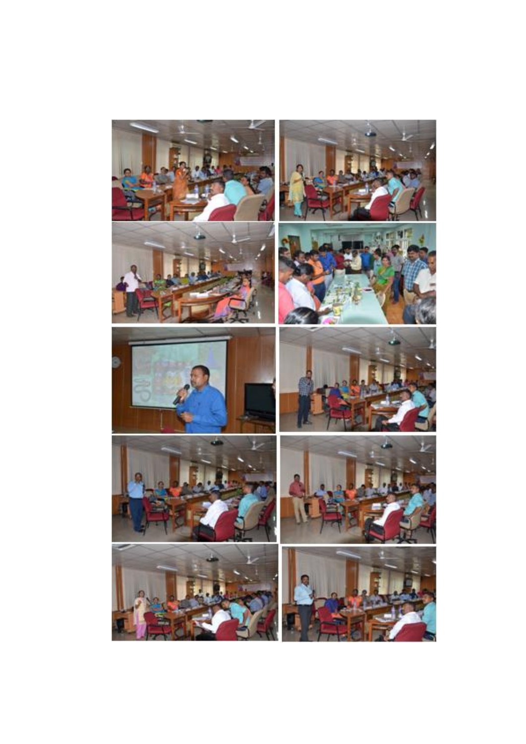